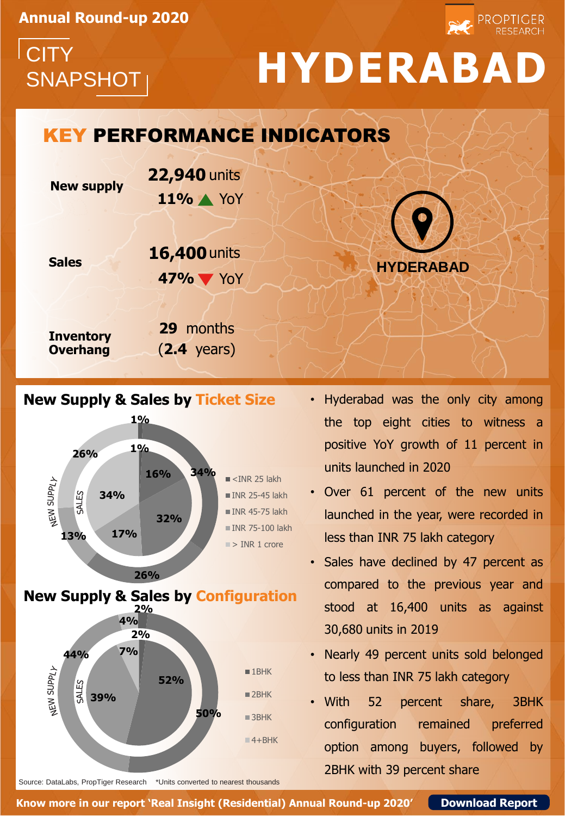**Annual Round-up 2020**

**CITY** 

## SNAPSHOT **HYDERABAD**

**PROPTIGER** 

### **New supply Sales Inventory Overhang 11%** YoY KEY PERFORMANCE INDICATORS **29** months (**2.4** years) **22,940** units **47%** YoY **16,400** units **HYDERABAD**

#### **New Supply & Sales by Ticket Size**



Source: DataLabs, PropTiger Research \*Units converted to nearest thousands

- Hyderabad was the only city among the top eight cities to witness a positive YoY growth of 11 percent in units launched in 2020
- Over 61 percent of the new units launched in the year, were recorded in less than INR 75 lakh category
- Sales have declined by 47 percent as compared to the previous year and stood at 16,400 units as against 30,680 units in 2019
- Nearly 49 percent units sold belonged to less than INR 75 lakh category
- With 52 percent share, 3BHK configuration remained preferred option among buyers, followed by 2BHK with 39 percent share

**Know more in our report 'Real Insight (Residential) Annual Round-up 2020' [Download Report](http://bit.ly/39jbBE1)**